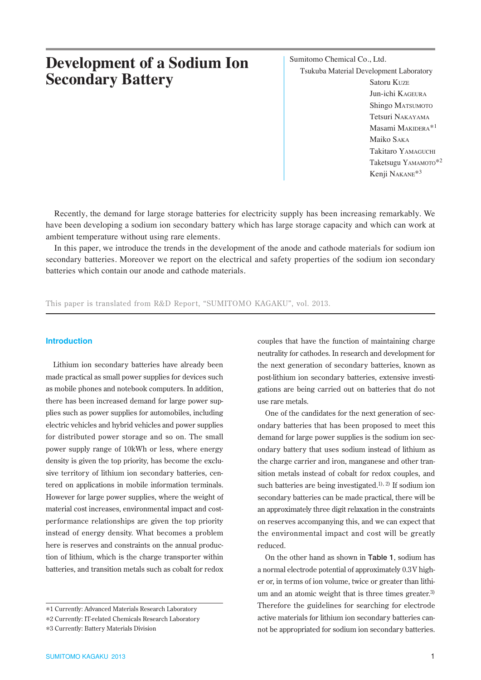# **Development of a Sodium Ion Secondary Battery**

Sumitomo Chemical Co., Ltd. Tsukuba Material Development Laboratory Satoru KUZE Jun-ichi KAGEURA Shingo MATSUMOTO Tetsuri NAKAYAMA Masami MAKIDERA\*1 Maiko SAKA Takitaro YAMAGUCHI Taketsugu YAMAMOTO\*2 Kenji NAKANE\*3

Recently, the demand for large storage batteries for electricity supply has been increasing remarkably. We have been developing a sodium ion secondary battery which has large storage capacity and which can work at ambient temperature without using rare elements.

In this paper, we introduce the trends in the development of the anode and cathode materials for sodium ion secondary batteries. Moreover we report on the electrical and safety properties of the sodium ion secondary batteries which contain our anode and cathode materials.

This paper is translated from R&D Report, "SUMITOMO KAGAKU", vol. 2013.

## **Introduction**

Lithium ion secondary batteries have already been made practical as small power supplies for devices such as mobile phones and notebook computers. In addition, there has been increased demand for large power supplies such as power supplies for automobiles, including electric vehicles and hybrid vehicles and power supplies for distributed power storage and so on. The small power supply range of 10kWh or less, where energy density is given the top priority, has become the exclusive territory of lithium ion secondary batteries, centered on applications in mobile information terminals. However for large power supplies, where the weight of material cost increases, environmental impact and costperformance relationships are given the top priority instead of energy density. What becomes a problem here is reserves and constraints on the annual production of lithium, which is the charge transporter within batteries, and transition metals such as cobalt for redox

couples that have the function of maintaining charge neutrality for cathodes. In research and development for the next generation of secondary batteries, known as post-lithium ion secondary batteries, extensive investigations are being carried out on batteries that do not use rare metals.

One of the candidates for the next generation of secondary batteries that has been proposed to meet this demand for large power supplies is the sodium ion secondary battery that uses sodium instead of lithium as the charge carrier and iron, manganese and other transition metals instead of cobalt for redox couples, and such batteries are being investigated.<sup>1), 2)</sup> If sodium ion secondary batteries can be made practical, there will be an approximately three digit relaxation in the constraints on reserves accompanying this, and we can expect that the environmental impact and cost will be greatly reduced.

On the other hand as shown in **Table 1**, sodium has a normal electrode potential of approximately 0.3V higher or, in terms of ion volume, twice or greater than lithium and an atomic weight that is three times greater. $3$ ) Therefore the guidelines for searching for electrode active materials for lithium ion secondary batteries cannot be appropriated for sodium ion secondary batteries.

<sup>\*</sup>1 Currently: Advanced Materials Research Laboratory

<sup>\*</sup>2 Currently: IT-related Chemicals Research Laboratory

<sup>\*</sup>3 Currently: Battery Materials Division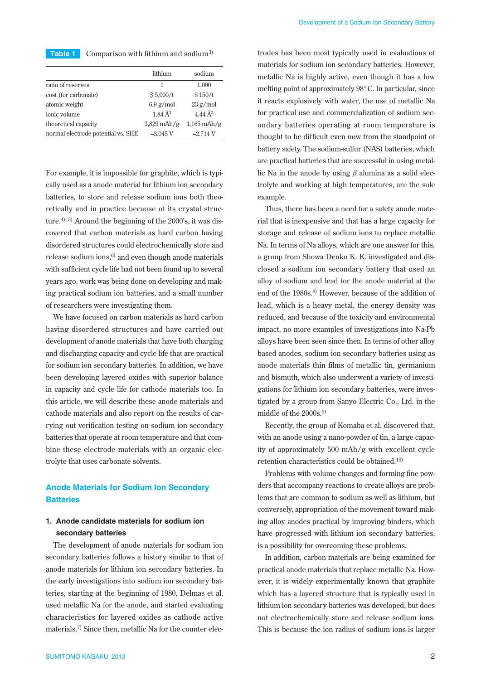| Table 1 | Comparison with lithium and sodium <sup>3)</sup> |  |  |
|---------|--------------------------------------------------|--|--|
|---------|--------------------------------------------------|--|--|

|                                    | lithium              | sodium              |
|------------------------------------|----------------------|---------------------|
| ratio of reserves                  | 1                    | 1,000               |
| cost (for carbonate)               | \$5,000/t            | \$150/t             |
| atomic weight                      | $6.9$ g/mol          | $23$ g/mol          |
| ionic volume                       | $1.84 \text{ Å}^{3}$ | 4.44 Å <sup>3</sup> |
| theoretical capacity               | $3,829$ mAh/g        | $1,165$ mAh/g       |
| normal electrode potential vs. SHE | $-3.045$ V           | $-2.714V$           |
|                                    |                      |                     |

For example, it is impossible for graphite, which is typically used as a anode material for lithium ion secondary batteries, to store and release sodium ions both theoretically and in practice because of its crystal structure. $4^{(1)}$ , 5) Around the beginning of the 2000's, it was discovered that carbon materials as hard carbon having disordered structures could electrochemically store and release sodium ions, $6$  and even though anode materials with sufficient cycle life had not been found up to several years ago, work was being done on developing and making practical sodium ion batteries, and a small number of researchers were investigating them.

We have focused on carbon materials as hard carbon having disordered structures and have carried out development of anode materials that have both charging and discharging capacity and cycle life that are practical for sodium ion secondary batteries. In addition, we have been developing layered oxides with superior balance in capacity and cycle life for cathode materials too. In this article, we will describe these anode materials and cathode materials and also report on the results of carrying out verification testing on sodium ion secondary batteries that operate at room temperature and that combine these electrode materials with an organic electrolyte that uses carbonate solvents.

# **Anode Materials for Sodium Ion Secondary Batteries**

# **1. Anode candidate materials for sodium ion secondary batteries**

The development of anode materials for sodium ion secondary batteries follows a history similar to that of anode materials for lithium ion secondary batteries. In the early investigations into sodium ion secondary batteries, starting at the beginning of 1980, Delmas et al. used metallic Na for the anode, and started evaluating characteristics for layered oxides as cathode active materials.7) Since then, metallic Na for the counter electrodes has been most typically used in evaluations of materials for sodium ion secondary batteries. However, metallic Na is highly active, even though it has a low melting point of approximately 98°C. In particular, since it reacts explosively with water, the use of metallic Na for practical use and commercialization of sodium secondary batteries operating at room temperature is thought to be difficult even now from the standpoint of battery safety. The sodium-sulfur (NAS) batteries, which are practical batteries that are successful in using metallic Na in the anode by using *β* alumina as a solid electrolyte and working at high temperatures, are the sole example.

Thus, there has been a need for a safety anode material that is inexpensive and that has a large capacity for storage and release of sodium ions to replace metallic Na. In terms of Na alloys, which are one answer for this, a group from Showa Denko K. K. investigated and disclosed a sodium ion secondary battery that used an alloy of sodium and lead for the anode material at the end of the 1980s.<sup>8)</sup> However, because of the addition of lead, which is a heavy metal, the energy density was reduced, and because of the toxicity and environmental impact, no more examples of investigations into Na-Pb alloys have been seen since then. In terms of other alloy based anodes, sodium ion secondary batteries using as anode materials thin films of metallic tin, germanium and bismuth, which also underwent a variety of investigations for lithium ion secondary batteries, were investigated by a group from Sanyo Electric Co., Ltd. in the middle of the 2000s.<sup>9)</sup>

Recently, the group of Komaba et al. discovered that, with an anode using a nano-powder of tin, a large capacity of approximately 500 mAh/g with excellent cycle retention characteristics could be obtained.10)

Problems with volume changes and forming fine powders that accompany reactions to create alloys are problems that are common to sodium as well as lithium, but conversely, appropriation of the movement toward making alloy anodes practical by improving binders, which have progressed with lithium ion secondary batteries, is a possibility for overcoming these problems.

In addition, carbon materials are being examined for practical anode materials that replace metallic Na. However, it is widely experimentally known that graphite which has a layered structure that is typically used in lithium ion secondary batteries was developed, but does not electrochemically store and release sodium ions. This is because the ion radius of sodium ions is larger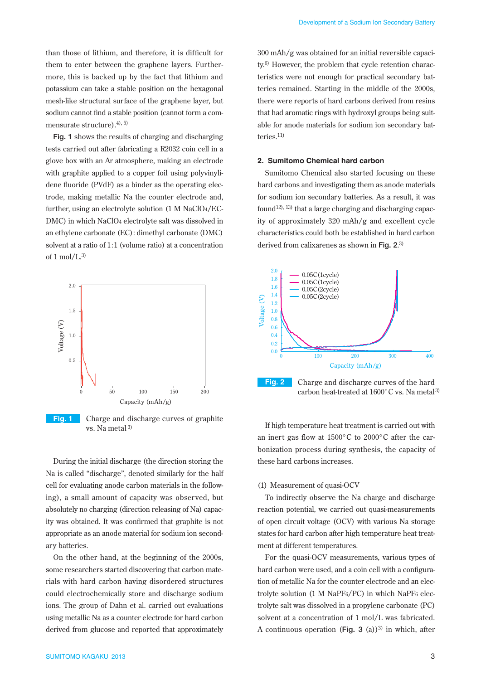than those of lithium, and therefore, it is difficult for them to enter between the graphene layers. Furthermore, this is backed up by the fact that lithium and potassium can take a stable position on the hexagonal mesh-like structural surface of the graphene layer, but sodium cannot find a stable position (cannot form a commensurate structure). $4^{(4)}$ ,  $5^{(5)}$ 

**Fig. 1** shows the results of charging and discharging tests carried out after fabricating a R2032 coin cell in a glove box with an Ar atmosphere, making an electrode with graphite applied to a copper foil using polyvinylidene fluoride (PVdF) as a binder as the operating electrode, making metallic Na the counter electrode and, further, using an electrolyte solution (1 M NaClO4/EC-DMC) in which NaClO4 electrolyte salt was dissolved in an ethylene carbonate (EC): dimethyl carbonate (DMC) solvent at a ratio of 1:1 (volume ratio) at a concentration of  $1 \text{ mol/L}^{3}$ 



**Fig. 1** Charge and discharge curves of graphite vs. Na metal 3)

During the initial discharge (the direction storing the Na is called "discharge", denoted similarly for the half cell for evaluating anode carbon materials in the following), a small amount of capacity was observed, but absolutely no charging (direction releasing of Na) capacity was obtained. It was confirmed that graphite is not appropriate as an anode material for sodium ion secondary batteries.

On the other hand, at the beginning of the 2000s, some researchers started discovering that carbon materials with hard carbon having disordered structures could electrochemically store and discharge sodium ions. The group of Dahn et al. carried out evaluations using metallic Na as a counter electrode for hard carbon derived from glucose and reported that approximately

300 mAh/g was obtained for an initial reversible capacity.6) However, the problem that cycle retention characteristics were not enough for practical secondary batteries remained. Starting in the middle of the 2000s, there were reports of hard carbons derived from resins that had aromatic rings with hydroxyl groups being suitable for anode materials for sodium ion secondary batteries.11)

#### **2. Sumitomo Chemical hard carbon**

Sumitomo Chemical also started focusing on these hard carbons and investigating them as anode materials for sodium ion secondary batteries. As a result, it was found<sup>12), 13)</sup> that a large charging and discharging capacity of approximately 320 mAh/g and excellent cycle characteristics could both be established in hard carbon derived from calixarenes as shown in **Fig. 2**. 3)



If high temperature heat treatment is carried out with an inert gas flow at 1500°C to 2000°C after the carbonization process during synthesis, the capacity of these hard carbons increases.

## (1) Measurement of quasi-OCV

To indirectly observe the Na charge and discharge reaction potential, we carried out quasi-measurements of open circuit voltage (OCV) with various Na storage states for hard carbon after high temperature heat treatment at different temperatures.

For the quasi-OCV measurements, various types of hard carbon were used, and a coin cell with a configuration of metallic Na for the counter electrode and an electrolyte solution (1 M NaPF6/PC) in which NaPF6 electrolyte salt was dissolved in a propylene carbonate (PC) solvent at a concentration of 1 mol/L was fabricated. A continuous operation (Fig. 3 (a))<sup>3)</sup> in which, after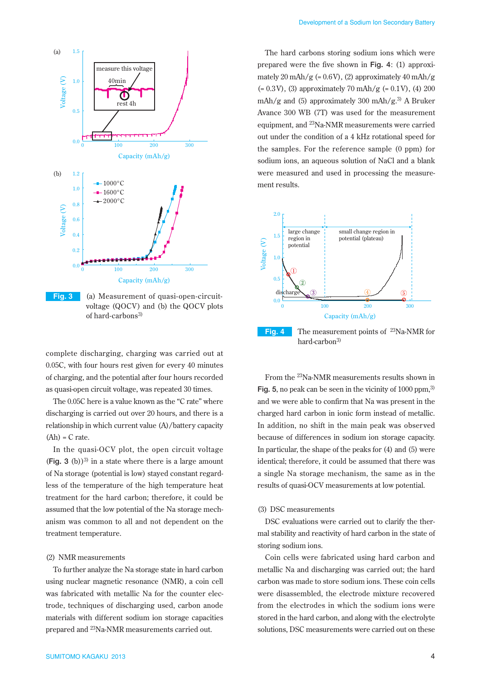

**Fig. 3** (a) Measurement of quasi-open-circuitvoltage (QOCV) and (b) the QOCV plots of hard-carbons3)

complete discharging, charging was carried out at 0.05C, with four hours rest given for every 40 minutes of charging, and the potential after four hours recorded as quasi-open circuit voltage, was repeated 30 times.

The 0.05C here is a value known as the "C rate" where discharging is carried out over 20 hours, and there is a relationship in which current value (A)/battery capacity  $(Ah) = C$  rate.

In the quasi-OCV plot, the open circuit voltage  $(Fiq. 3 (b))^{3}$  in a state where there is a large amount of Na storage (potential is low) stayed constant regardless of the temperature of the high temperature heat treatment for the hard carbon; therefore, it could be assumed that the low potential of the Na storage mechanism was common to all and not dependent on the treatment temperature.

## (2) NMR measurements

To further analyze the Na storage state in hard carbon using nuclear magnetic resonance (NMR), a coin cell was fabricated with metallic Na for the counter electrode, techniques of discharging used, carbon anode materials with different sodium ion storage capacities prepared and 23Na-NMR measurements carried out.

The hard carbons storing sodium ions which were prepared were the five shown in **Fig. 4**: (1) approximately 20 mAh/g (=  $0.6V$ ), (2) approximately 40 mAh/g  $(= 0.3 \text{V})$ , (3) approximately 70 mAh/g  $(= 0.1 \text{V})$ , (4) 200 mAh/g and (5) approximately 300 mAh/g.<sup>3)</sup> A Bruker Avance 300 WB (7T) was used for the measurement equipment, and 23Na-NMR measurements were carried out under the condition of a 4 kHz rotational speed for the samples. For the reference sample (0 ppm) for sodium ions, an aqueous solution of NaCl and a blank were measured and used in processing the measurement results.



hard-carbon3)

From the 23Na-NMR measurements results shown in Fig. 5, no peak can be seen in the vicinity of 1000 ppm.<sup>3)</sup> and we were able to confirm that Na was present in the charged hard carbon in ionic form instead of metallic. In addition, no shift in the main peak was observed because of differences in sodium ion storage capacity. In particular, the shape of the peaks for (4) and (5) were identical; therefore, it could be assumed that there was a single Na storage mechanism, the same as in the results of quasi-OCV measurements at low potential.

## (3) DSC measurements

DSC evaluations were carried out to clarify the thermal stability and reactivity of hard carbon in the state of storing sodium ions.

Coin cells were fabricated using hard carbon and metallic Na and discharging was carried out; the hard carbon was made to store sodium ions. These coin cells were disassembled, the electrode mixture recovered from the electrodes in which the sodium ions were stored in the hard carbon, and along with the electrolyte solutions, DSC measurements were carried out on these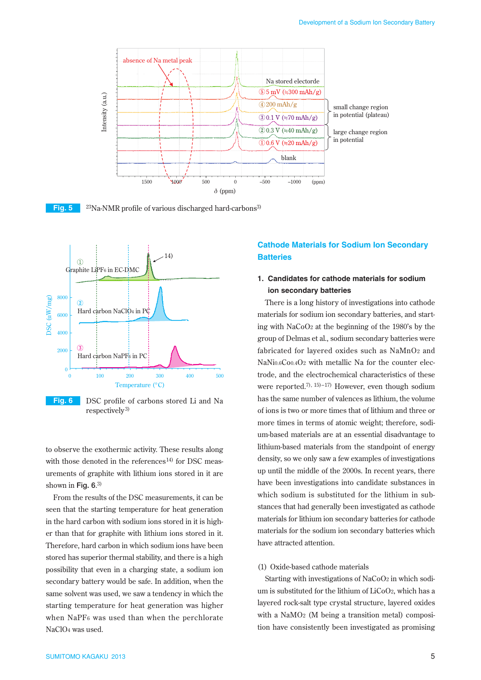



**Fig. 5** <sup>23</sup>Na-NMR profile of various discharged hard-carbons<sup>3)</sup>



**Fig. 6** DSC profile of carbons stored Li and Na respectively3)

to observe the exothermic activity. These results along with those denoted in the references<sup>14)</sup> for DSC measurements of graphite with lithium ions stored in it are shown in **Fig. 6**. 3)

From the results of the DSC measurements, it can be seen that the starting temperature for heat generation in the hard carbon with sodium ions stored in it is higher than that for graphite with lithium ions stored in it. Therefore, hard carbon in which sodium ions have been stored has superior thermal stability, and there is a high possibility that even in a charging state, a sodium ion secondary battery would be safe. In addition, when the same solvent was used, we saw a tendency in which the starting temperature for heat generation was higher when NaPF6 was used than when the perchlorate NaClO4 was used.

# **Cathode Materials for Sodium Ion Secondary Batteries**

# **1. Candidates for cathode materials for sodium ion secondary batteries**

There is a long history of investigations into cathode materials for sodium ion secondary batteries, and starting with NaCoO2 at the beginning of the 1980's by the group of Delmas et al., sodium secondary batteries were fabricated for layered oxides such as NaMnO2 and NaNi0.6Co0.4O2 with metallic Na for the counter electrode, and the electrochemical characteristics of these were reported.<sup>7), 15)–17)</sup> However, even though sodium has the same number of valences as lithium, the volume of ions is two or more times that of lithium and three or more times in terms of atomic weight; therefore, sodium-based materials are at an essential disadvantage to lithium-based materials from the standpoint of energy density, so we only saw a few examples of investigations up until the middle of the 2000s. In recent years, there have been investigations into candidate substances in which sodium is substituted for the lithium in substances that had generally been investigated as cathode materials for lithium ion secondary batteries for cathode materials for the sodium ion secondary batteries which have attracted attention.

## (1) Oxide-based cathode materials

Starting with investigations of NaCoO2 in which sodium is substituted for the lithium of LiCoO2, which has a layered rock-salt type crystal structure, layered oxides with a NaMO2 (M being a transition metal) composition have consistently been investigated as promising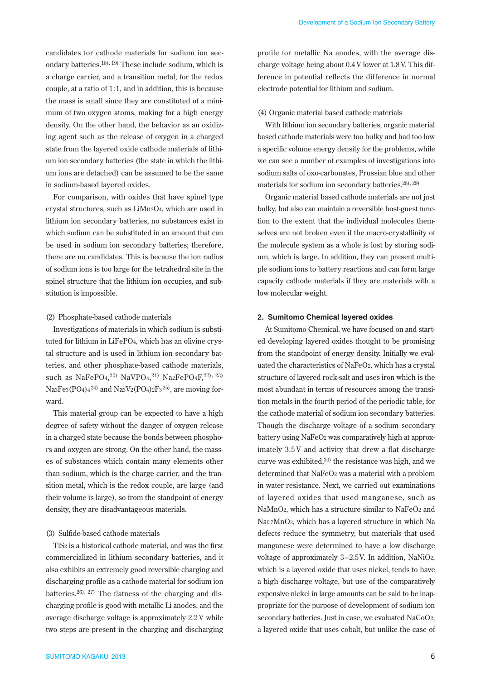candidates for cathode materials for sodium ion secondary batteries.18), 19) These include sodium, which is a charge carrier, and a transition metal, for the redox couple, at a ratio of 1:1, and in addition, this is because the mass is small since they are constituted of a minimum of two oxygen atoms, making for a high energy density. On the other hand, the behavior as an oxidizing agent such as the release of oxygen in a charged state from the layered oxide cathode materials of lithium ion secondary batteries (the state in which the lithium ions are detached) can be assumed to be the same in sodium-based layered oxides.

For comparison, with oxides that have spinel type crystal structures, such as LiMn2O4, which are used in lithium ion secondary batteries, no substances exist in which sodium can be substituted in an amount that can be used in sodium ion secondary batteries; therefore, there are no candidates. This is because the ion radius of sodium ions is too large for the tetrahedral site in the spinel structure that the lithium ion occupies, and substitution is impossible.

## (2) Phosphate-based cathode materials

Investigations of materials in which sodium is substituted for lithium in LiFePO4, which has an olivine crystal structure and is used in lithium ion secondary batteries, and other phosphate-based cathode materials, such as NaFePO4, 20) NaVPO4, 21) Na2FePO4F,22), 23) Na3Fe3(PO4) $4^{24}$  and Na3V2(PO4) $2F3^{25}$ , are moving forward.

This material group can be expected to have a high degree of safety without the danger of oxygen release in a charged state because the bonds between phosphors and oxygen are strong. On the other hand, the masses of substances which contain many elements other than sodium, which is the charge carrier, and the transition metal, which is the redox couple, are large (and their volume is large), so from the standpoint of energy density, they are disadvantageous materials.

## (3) Sulfide-based cathode materials

TiS2 is a historical cathode material, and was the first commercialized in lithium secondary batteries, and it also exhibits an extremely good reversible charging and discharging profile as a cathode material for sodium ion batteries.<sup>26), 27)</sup> The flatness of the charging and discharging profile is good with metallic Li anodes, and the average discharge voltage is approximately 2.2 V while two steps are present in the charging and discharging

SUMITOMO KAGAKU 2013 6

profile for metallic Na anodes, with the average discharge voltage being about 0.4 V lower at 1.8 V. This difference in potential reflects the difference in normal electrode potential for lithium and sodium.

#### (4) Organic material based cathode materials

With lithium ion secondary batteries, organic material based cathode materials were too bulky and had too low a specific volume energy density for the problems, while we can see a number of examples of investigations into sodium salts of oxo-carbonates, Prussian blue and other materials for sodium ion secondary batteries.28), 29)

Organic material based cathode materials are not just bulky, but also can maintain a reversible host-guest function to the extent that the individual molecules themselves are not broken even if the macro-crystallinity of the molecule system as a whole is lost by storing sodium, which is large. In addition, they can present multiple sodium ions to battery reactions and can form large capacity cathode materials if they are materials with a low molecular weight.

## **2. Sumitomo Chemical layered oxides**

At Sumitomo Chemical, we have focused on and started developing layered oxides thought to be promising from the standpoint of energy density. Initially we evaluated the characteristics of NaFeO2, which has a crystal structure of layered rock-salt and uses iron which is the most abundant in terms of resources among the transition metals in the fourth period of the periodic table, for the cathode material of sodium ion secondary batteries. Though the discharge voltage of a sodium secondary battery using NaFeO2 was comparatively high at approximately 3.5 V and activity that drew a flat discharge curve was exhibited, $30$  the resistance was high, and we determined that NaFeO2 was a material with a problem in water resistance. Next, we carried out examinations of layered oxides that used manganese, such as NaMnO2, which has a structure similar to NaFeO2 and Na0.7MnO2, which has a layered structure in which Na defects reduce the symmetry, but materials that used manganese were determined to have a low discharge voltage of approximately 3–2.5V. In addition, NaNiO2, which is a layered oxide that uses nickel, tends to have a high discharge voltage, but use of the comparatively expensive nickel in large amounts can be said to be inappropriate for the purpose of development of sodium ion secondary batteries. Just in case, we evaluated NaCoO2, a layered oxide that uses cobalt, but unlike the case of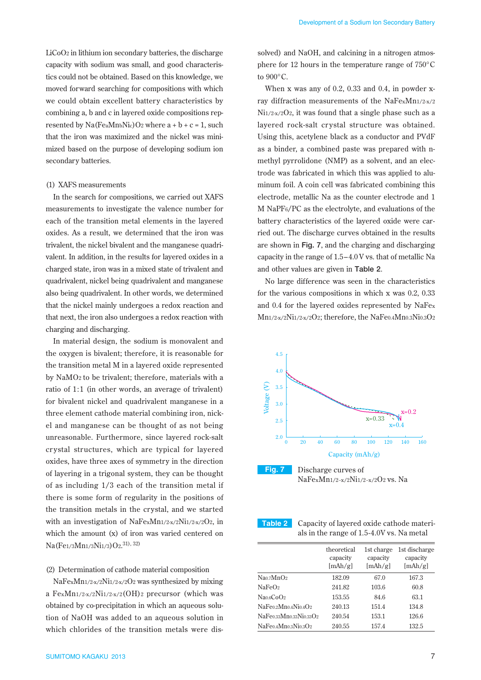LiCoO2 in lithium ion secondary batteries, the discharge capacity with sodium was small, and good characteristics could not be obtained. Based on this knowledge, we moved forward searching for compositions with which we could obtain excellent battery characteristics by combining a, b and c in layered oxide compositions represented by  $Na(FeaMn_bNic)O<sub>2</sub>$  where  $a + b + c = 1$ , such that the iron was maximized and the nickel was minimized based on the purpose of developing sodium ion secondary batteries.

#### (1) XAFS measurements

In the search for compositions, we carried out XAFS measurements to investigate the valence number for each of the transition metal elements in the layered oxides. As a result, we determined that the iron was trivalent, the nickel bivalent and the manganese quadrivalent. In addition, in the results for layered oxides in a charged state, iron was in a mixed state of trivalent and quadrivalent, nickel being quadrivalent and manganese also being quadrivalent. In other words, we determined that the nickel mainly undergoes a redox reaction and that next, the iron also undergoes a redox reaction with charging and discharging.

In material design, the sodium is monovalent and the oxygen is bivalent; therefore, it is reasonable for the transition metal M in a layered oxide represented by NaMO2 to be trivalent; therefore, materials with a ratio of 1:1 (in other words, an average of trivalent) for bivalent nickel and quadrivalent manganese in a three element cathode material combining iron, nickel and manganese can be thought of as not being unreasonable. Furthermore, since layered rock-salt crystal structures, which are typical for layered oxides, have three axes of symmetry in the direction of layering in a trigonal system, they can be thought of as including 1/3 each of the transition metal if there is some form of regularity in the positions of the transition metals in the crystal, and we started with an investigation of NaFexMn1/2-x/2Ni1/2-x/2O2, in which the amount (x) of iron was varied centered on Na(Fe1/3Mn1/3Ni1/3)O2.<sup>31), 32)</sup>

## (2) Determination of cathode material composition

NaFexMn1/2-x/2Ni1/2-x/2O2 was synthesized by mixing a FexMn1/2-x/2Ni1/2-x/2(OH)2 precursor (which was obtained by co-precipitation in which an aqueous solution of NaOH was added to an aqueous solution in which chlorides of the transition metals were dis-

solved) and NaOH, and calcining in a nitrogen atmosphere for 12 hours in the temperature range of 750°C to 900°C.

When x was any of 0.2, 0.33 and 0.4, in powder xray diffraction measurements of the NaFexMn1/2-x/2  $Ni1/2-x/2O2$ , it was found that a single phase such as a layered rock-salt crystal structure was obtained. Using this, acetylene black as a conductor and PVdF as a binder, a combined paste was prepared with nmethyl pyrrolidone (NMP) as a solvent, and an electrode was fabricated in which this was applied to aluminum foil. A coin cell was fabricated combining this electrode, metallic Na as the counter electrode and 1 M NaPF6/PC as the electrolyte, and evaluations of the battery characteristics of the layered oxide were carried out. The discharge curves obtained in the results are shown in **Fig. 7**, and the charging and discharging capacity in the range of 1.5–4.0 V vs. that of metallic Na and other values are given in **Table 2**.

No large difference was seen in the characteristics for the various compositions in which x was 0.2, 0.33 and 0.4 for the layered oxides represented by NaFex Mn1/2-x/2Ni1/2-x/2O2; therefore, the NaFe0.4Mn0.3Ni0.3O2





NaFexMn1/2−x/2Ni1/2−x/2O2 vs. Na

**Table 2** Capacity of layered oxide cathode materials in the range of 1.5-4.0V vs. Na metal

|                                     | theoretical<br>capacity<br>[mAh/g] | 1st charge<br>capacity<br>[mAh/g] | 1st discharge<br>capacity<br>[mAh/g] |
|-------------------------------------|------------------------------------|-----------------------------------|--------------------------------------|
| Na <sub>0.7</sub> MnO <sub>2</sub>  | 182.09                             | 67.0                              | 167.3                                |
| NaFeO <sub>2</sub>                  | 241.82                             | 103.6                             | 60.8                                 |
| Na <sub>0.6</sub> Co <sub>0.2</sub> | 153.55                             | 84.6                              | 63.1                                 |
| $NaFe0.2Mn0.4Ni0.4O2$               | 240.13                             | 151.4                             | 134.8                                |
| $NaFe0.33Mn0.33Ni0.33O2$            | 240.54                             | 153.1                             | 126.6                                |
| NaFe0.4Mn0.3Ni0.3O2                 | 240.55                             | 157.4                             | 132.5                                |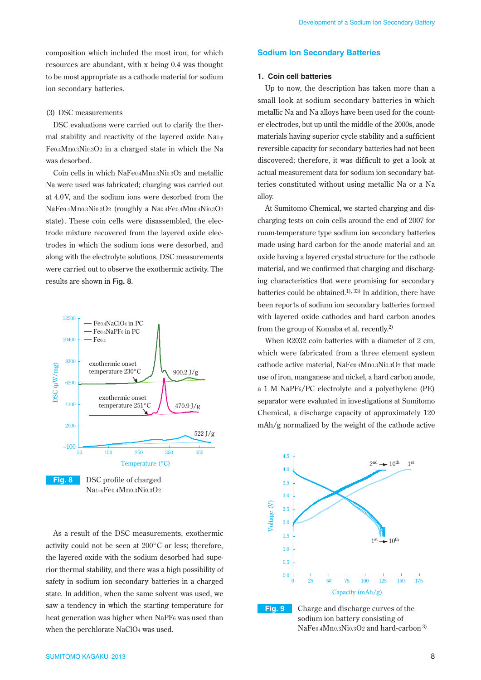composition which included the most iron, for which resources are abundant, with x being 0.4 was thought to be most appropriate as a cathode material for sodium ion secondary batteries.

## (3) DSC measurements

DSC evaluations were carried out to clarify the thermal stability and reactivity of the layered oxide Na1-y Fe0.4Mn0.3Ni0.3O2 in a charged state in which the Na was desorbed.

Coin cells in which NaFe0.4Mn0.3Ni0.3O2 and metallic Na were used was fabricated; charging was carried out at 4.0V, and the sodium ions were desorbed from the NaFe0.4Mn0.3Ni0.3O2 (roughly a Na0.4Fe0.4Mn0.4Ni0.3O2 state). These coin cells were disassembled, the electrode mixture recovered from the layered oxide electrodes in which the sodium ions were desorbed, and along with the electrolyte solutions, DSC measurements were carried out to observe the exothermic activity. The results are shown in **Fig. 8**.



Na1–yFe0.4Mn0.3Ni0.3O2

As a result of the DSC measurements, exothermic activity could not be seen at 200°C or less; therefore, the layered oxide with the sodium desorbed had superior thermal stability, and there was a high possibility of safety in sodium ion secondary batteries in a charged state. In addition, when the same solvent was used, we saw a tendency in which the starting temperature for heat generation was higher when NaPF6 was used than when the perchlorate NaClO4 was used.

## **Sodium Ion Secondary Batteries**

## **1. Coin cell batteries**

Up to now, the description has taken more than a small look at sodium secondary batteries in which metallic Na and Na alloys have been used for the counter electrodes, but up until the middle of the 2000s, anode materials having superior cycle stability and a sufficient reversible capacity for secondary batteries had not been discovered; therefore, it was difficult to get a look at actual measurement data for sodium ion secondary batteries constituted without using metallic Na or a Na alloy.

At Sumitomo Chemical, we started charging and discharging tests on coin cells around the end of 2007 for room-temperature type sodium ion secondary batteries made using hard carbon for the anode material and an oxide having a layered crystal structure for the cathode material, and we confirmed that charging and discharging characteristics that were promising for secondary batteries could be obtained.<sup>1), 33)</sup> In addition, there have been reports of sodium ion secondary batteries formed with layered oxide cathodes and hard carbon anodes from the group of Komaba et al. recently.2)

When R2032 coin batteries with a diameter of 2 cm, which were fabricated from a three element system cathode active material, NaFe0.4Mn0.3Ni0.3O2 that made use of iron, manganese and nickel, a hard carbon anode, a 1 M NaPF6/PC electrolyte and a polyethylene (PE) separator were evaluated in investigations at Sumitomo Chemical, a discharge capacity of approximately 120 mAh/g normalized by the weight of the cathode active





**Fig. 9** Charge and discharge curves of the sodium ion battery consisting of NaFe0.4Mn0.3Ni0.3O2 and hard-carbon 3)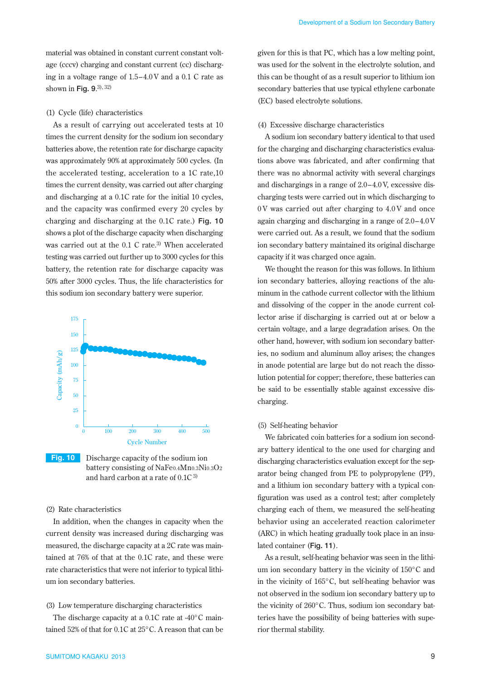material was obtained in constant current constant voltage (cccv) charging and constant current (cc) discharging in a voltage range of 1.5–4.0 V and a 0.1 C rate as shown in **Fig. 9**. 3), 32)

## (1) Cycle (life) characteristics

As a result of carrying out accelerated tests at 10 times the current density for the sodium ion secondary batteries above, the retention rate for discharge capacity was approximately 90% at approximately 500 cycles. (In the accelerated testing, acceleration to a 1C rate,10 times the current density, was carried out after charging and discharging at a 0.1C rate for the initial 10 cycles, and the capacity was confirmed every 20 cycles by charging and discharging at the 0.1C rate.) **Fig. 10** shows a plot of the discharge capacity when discharging was carried out at the 0.1 C rate.<sup>3)</sup> When accelerated testing was carried out further up to 3000 cycles for this battery, the retention rate for discharge capacity was 50% after 3000 cycles. Thus, the life characteristics for this sodium ion secondary battery were superior.



**Fig. 10** Discharge capacity of the sodium ion battery consisting of NaFe0.4Mn0.3Ni0.3O2 and hard carbon at a rate of 0.1C 3)

## (2) Rate characteristics

In addition, when the changes in capacity when the current density was increased during discharging was measured, the discharge capacity at a 2C rate was maintained at 76% of that at the 0.1C rate, and these were rate characteristics that were not inferior to typical lithium ion secondary batteries.

#### (3) Low temperature discharging characteristics

The discharge capacity at a 0.1C rate at -40°C maintained 52% of that for 0.1C at 25°C. A reason that can be

given for this is that PC, which has a low melting point, was used for the solvent in the electrolyte solution, and this can be thought of as a result superior to lithium ion secondary batteries that use typical ethylene carbonate (EC) based electrolyte solutions.

## (4) Excessive discharge characteristics

A sodium ion secondary battery identical to that used for the charging and discharging characteristics evaluations above was fabricated, and after confirming that there was no abnormal activity with several chargings and dischargings in a range of 2.0–4.0 V, excessive discharging tests were carried out in which discharging to 0 V was carried out after charging to 4.0 V and once again charging and discharging in a range of 2.0–4.0 V were carried out. As a result, we found that the sodium ion secondary battery maintained its original discharge capacity if it was charged once again.

We thought the reason for this was follows. In lithium ion secondary batteries, alloying reactions of the aluminum in the cathode current collector with the lithium and dissolving of the copper in the anode current collector arise if discharging is carried out at or below a certain voltage, and a large degradation arises. On the other hand, however, with sodium ion secondary batteries, no sodium and aluminum alloy arises; the changes in anode potential are large but do not reach the dissolution potential for copper; therefore, these batteries can be said to be essentially stable against excessive discharging.

#### (5) Self-heating behavior

We fabricated coin batteries for a sodium ion secondary battery identical to the one used for charging and discharging characteristics evaluation except for the separator being changed from PE to polypropylene (PP), and a lithium ion secondary battery with a typical configuration was used as a control test; after completely charging each of them, we measured the self-heating behavior using an accelerated reaction calorimeter (ARC) in which heating gradually took place in an insulated container (**Fig. 11**).

As a result, self-heating behavior was seen in the lithium ion secondary battery in the vicinity of 150°C and in the vicinity of 165°C, but self-heating behavior was not observed in the sodium ion secondary battery up to the vicinity of 260°C. Thus, sodium ion secondary batteries have the possibility of being batteries with superior thermal stability.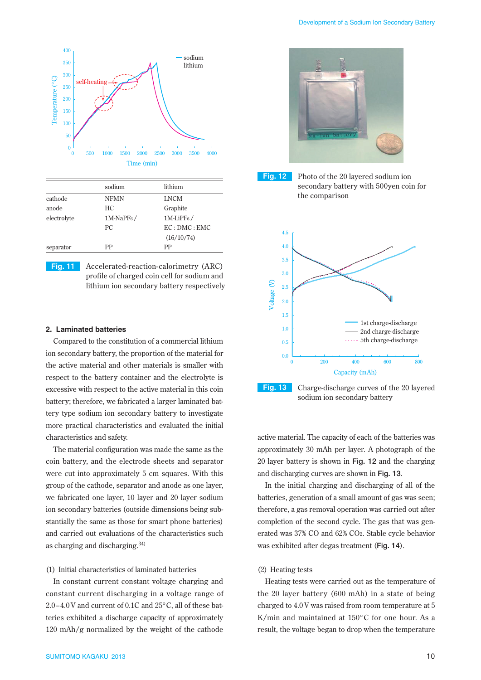

|             | sodium                 | lithium                |
|-------------|------------------------|------------------------|
| cathode     | <b>NFMN</b>            | <b>LNCM</b>            |
| anode       | HC.                    | Graphite               |
| electrolyte | 1M-NaPF <sub>6</sub> / | 1M-LiPF <sub>6</sub> / |
|             | PC.                    | EC:DMC:EMC             |
|             |                        | (16/10/74)             |
| separator   | РP                     | РP                     |

**Fig. 11** Accelerated-reaction-calorimetry (ARC) profile of charged coin cell for sodium and lithium ion secondary battery respectively

## **2. Laminated batteries**

Compared to the constitution of a commercial lithium ion secondary battery, the proportion of the material for the active material and other materials is smaller with respect to the battery container and the electrolyte is excessive with respect to the active material in this coin battery; therefore, we fabricated a larger laminated battery type sodium ion secondary battery to investigate more practical characteristics and evaluated the initial characteristics and safety.

The material configuration was made the same as the coin battery, and the electrode sheets and separator were cut into approximately 5 cm squares. With this group of the cathode, separator and anode as one layer, we fabricated one layer, 10 layer and 20 layer sodium ion secondary batteries (outside dimensions being substantially the same as those for smart phone batteries) and carried out evaluations of the characteristics such as charging and discharging.34)

## (1) Initial characteristics of laminated batteries

In constant current constant voltage charging and constant current discharging in a voltage range of 2.0–4.0 V and current of 0.1C and 25°C, all of these batteries exhibited a discharge capacity of approximately 120 mAh/g normalized by the weight of the cathode



**Fig. 12** Photo of the 20 layered sodium ion secondary battery with 500yen coin for the comparison



sodium ion secondary battery

active material. The capacity of each of the batteries was approximately 30 mAh per layer. A photograph of the 20 layer battery is shown in **Fig. 12** and the charging and discharging curves are shown in **Fig. 13**.

In the initial charging and discharging of all of the batteries, generation of a small amount of gas was seen; therefore, a gas removal operation was carried out after completion of the second cycle. The gas that was generated was 37% CO and 62% CO2. Stable cycle behavior was exhibited after degas treatment (**Fig. 14**).

## (2) Heating tests

Heating tests were carried out as the temperature of the 20 layer battery (600 mAh) in a state of being charged to 4.0 V was raised from room temperature at 5 K/min and maintained at 150°C for one hour. As a result, the voltage began to drop when the temperature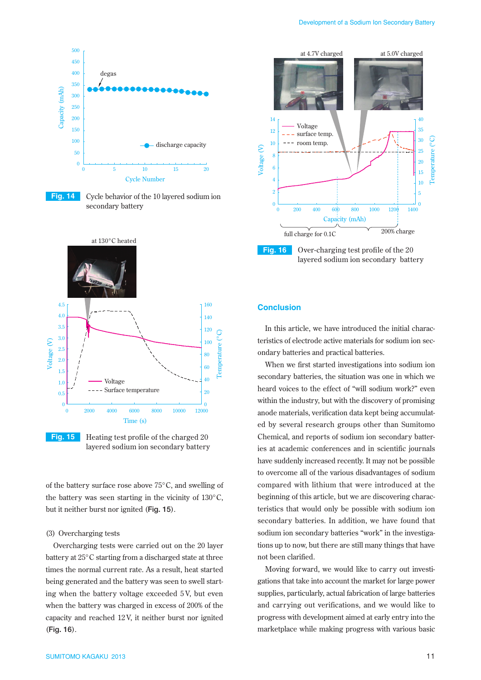

**Fig. 14** Cycle behavior of the 10 layered sodium ion secondary battery



**Fig. 15** Heating test profile of the charged 20 layered sodium ion secondary battery

of the battery surface rose above 75°C, and swelling of the battery was seen starting in the vicinity of 130°C, but it neither burst nor ignited (**Fig. 15**).

## (3) Overcharging tests

Overcharging tests were carried out on the 20 layer battery at 25°C starting from a discharged state at three times the normal current rate. As a result, heat started being generated and the battery was seen to swell starting when the battery voltage exceeded 5 V, but even when the battery was charged in excess of 200% of the capacity and reached 12 V, it neither burst nor ignited (**Fig. 16**).



## **Conclusion**

In this article, we have introduced the initial characteristics of electrode active materials for sodium ion secondary batteries and practical batteries.

When we first started investigations into sodium ion secondary batteries, the situation was one in which we heard voices to the effect of "will sodium work?" even within the industry, but with the discovery of promising anode materials, verification data kept being accumulated by several research groups other than Sumitomo Chemical, and reports of sodium ion secondary batteries at academic conferences and in scientific journals have suddenly increased recently. It may not be possible to overcome all of the various disadvantages of sodium compared with lithium that were introduced at the beginning of this article, but we are discovering characteristics that would only be possible with sodium ion secondary batteries. In addition, we have found that sodium ion secondary batteries "work" in the investigations up to now, but there are still many things that have not been clarified.

Moving forward, we would like to carry out investigations that take into account the market for large power supplies, particularly, actual fabrication of large batteries and carrying out verifications, and we would like to progress with development aimed at early entry into the marketplace while making progress with various basic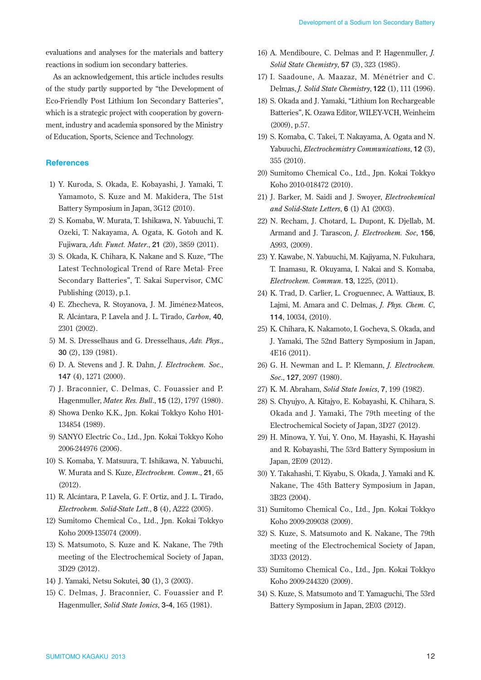evaluations and analyses for the materials and battery reactions in sodium ion secondary batteries.

As an acknowledgement, this article includes results of the study partly supported by "the Development of Eco-Friendly Post Lithium Ion Secondary Batteries", which is a strategic project with cooperation by government, industry and academia sponsored by the Ministry of Education, Sports, Science and Technology.

## **References**

- 1) Y. Kuroda, S. Okada, E. Kobayashi, J. Yamaki, T. Yamamoto, S. Kuze and M. Makidera, The 51st Battery Symposium in Japan, 3G12 (2010).
- 2) S. Komaba, W. Murata, T. Ishikawa, N. Yabuuchi, T. Ozeki, T. Nakayama, A. Ogata, K. Gotoh and K. Fujiwara, *Adv. Funct. Mater*., **21** (20), 3859 (2011).
- 3) S. Okada, K. Chihara, K. Nakane and S. Kuze, "The Latest Technological Trend of Rare Metal- Free Secondary Batteries", T. Sakai Supervisor, CMC Publishing (2013), p.1.
- 4) E. Zhecheva, R. Stoyanova, J. M. Jiménez-Mateos, R. Alcántara, P. Lavela and J. L. Tirado, *Carbon*, **40**, 2301 (2002).
- 5) M. S. Dresselhaus and G. Dresselhaus, *Adv. Phys*., **30** (2), 139 (1981).
- 6) D. A. Stevens and J. R. Dahn, *J. Electrochem. Soc*., **147** (4), 1271 (2000).
- 7) J. Braconnier, C. Delmas, C. Fouassier and P. Hagenmuller, *Mater. Res. Bull*., **15** (12), 1797 (1980).
- 8) Showa Denko K.K., Jpn. Kokai Tokkyo Koho H01- 134854 (1989).
- 9) SANYO Electric Co., Ltd., Jpn. Kokai Tokkyo Koho 2006-244976 (2006).
- 10) S. Komaba, Y. Matsuura, T. Ishikawa, N. Yabuuchi, W. Murata and S. Kuze, *Electrochem. Comm*., **21**, 65 (2012).
- 11) R. Alcántara, P. Lavela, G. F. Ortiz, and J. L. Tirado, *Electrochem. Solid-State Lett*., **8** (4), A222 (2005).
- 12) Sumitomo Chemical Co., Ltd., Jpn. Kokai Tokkyo Koho 2009-135074 (2009).
- 13) S. Matsumoto, S. Kuze and K. Nakane, The 79th meeting of the Electrochemical Society of Japan, 3D29 (2012).
- 14) J. Yamaki, Netsu Sokutei, **30** (1), 3 (2003).
- 15) C. Delmas, J. Braconnier, C. Fouassier and P. Hagenmuller, *Solid State Ionics*, **3-4**, 165 (1981).
- 16) A. Mendiboure, C. Delmas and P. Hagenmuller, *J. Solid State Chemistry*, **57** (3), 323 (1985).
- 17) I. Saadoune, A. Maazaz, M. Ménétrier and C. Delmas, *J. Solid State Chemistry*, **122** (1), 111 (1996).
- 18) S. Okada and J. Yamaki, "Lithium Ion Rechargeable Batteries", K. Ozawa Editor, WILEY-VCH, Weinheim (2009), p.57.
- 19) S. Komaba, C. Takei, T. Nakayama, A. Ogata and N. Yabuuchi, *Electrochemistry Communications*, **12** (3), 355 (2010).
- 20) Sumitomo Chemical Co., Ltd., Jpn. Kokai Tokkyo Koho 2010-018472 (2010).
- 21) J. Barker, M. Saidi and J. Swoyer, *Electrochemical and Solid-State Letters*, **6** (1) A1 (2003).
- 22) N. Recham, J. Chotard, L. Dupont, K. Djellab, M. Armand and J. Tarascon, *J. Electrochem. Soc*, **156**, A993, (2009).
- 23) Y. Kawabe, N. Yabuuchi, M. Kajiyama, N. Fukuhara, T. Inamasu, R. Okuyama, I. Nakai and S. Komaba, *Electrochem. Commun*. **13**, 1225, (2011).
- 24) K. Trad, D. Carlier, L. Croguennec, A. Wattiaux, B. Lajmi, M. Amara and C. Delmas, *J. Phys. Chem. C*, **114**, 10034, (2010).
- 25) K. Chihara, K. Nakamoto, I. Gocheva, S. Okada, and J. Yamaki, The 52nd Battery Symposium in Japan, 4E16 (2011).
- 26) G. H. Newman and L. P. Klemann, *J. Electrochem. Soc*., **127**, 2097 (1980).
- 27) K. M. Abraham, *Solid State Ionics*, **7**, 199 (1982).
- 28) S. Chyujyo, A. Kitajyo, E. Kobayashi, K. Chihara, S. Okada and J. Yamaki, The 79th meeting of the Electrochemical Society of Japan, 3D27 (2012).
- 29) H. Minowa, Y. Yui, Y. Ono, M. Hayashi, K. Hayashi and R. Kobayashi, The 53rd Battery Symposium in Japan, 2E09 (2012).
- 30) Y. Takahashi, T. Kiyabu, S. Okada, J. Yamaki and K. Nakane, The 45th Battery Symposium in Japan, 3B23 (2004).
- 31) Sumitomo Chemical Co., Ltd., Jpn. Kokai Tokkyo Koho 2009-209038 (2009).
- 32) S. Kuze, S. Matsumoto and K. Nakane, The 79th meeting of the Electrochemical Society of Japan, 3D33 (2012).
- 33) Sumitomo Chemical Co., Ltd., Jpn. Kokai Tokkyo Koho 2009-244320 (2009).
- 34) S. Kuze, S. Matsumoto and T. Yamaguchi, The 53rd Battery Symposium in Japan, 2E03 (2012).